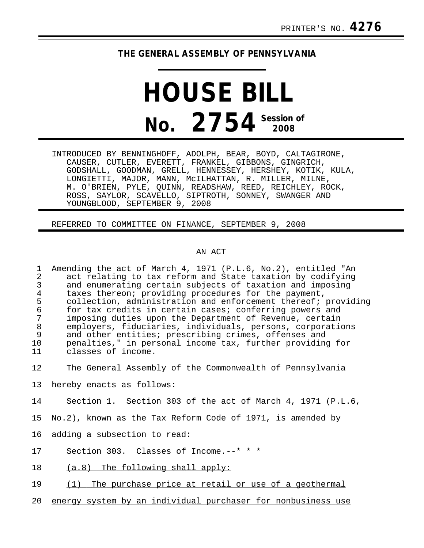## **THE GENERAL ASSEMBLY OF PENNSYLVANIA**

## **HOUSE BILL No.** 2754<sup> Session of</sup>

INTRODUCED BY BENNINGHOFF, ADOLPH, BEAR, BOYD, CALTAGIRONE, CAUSER, CUTLER, EVERETT, FRANKEL, GIBBONS, GINGRICH, GODSHALL, GOODMAN, GRELL, HENNESSEY, HERSHEY, KOTIK, KULA, LONGIETTI, MAJOR, MANN, McILHATTAN, R. MILLER, MILNE, M. O'BRIEN, PYLE, QUINN, READSHAW, REED, REICHLEY, ROCK, ROSS, SAYLOR, SCAVELLO, SIPTROTH, SONNEY, SWANGER AND YOUNGBLOOD, SEPTEMBER 9, 2008

REFERRED TO COMMITTEE ON FINANCE, SEPTEMBER 9, 2008

## AN ACT

- 1 Amending the act of March 4, 1971 (P.L.6, No.2), entitled "An 2 act relating to tax reform and State taxation by codifying<br>3 and enumerating certain subjects of taxation and imposing 3 and enumerating certain subjects of taxation and imposing<br>4 taxes thereon; providing procedures for the payment. 4 taxes thereon; providing procedures for the payment,<br>5 collection, administration and enforcement thereof; 5 collection, administration and enforcement thereof; providing<br>6 for tax credits in certain cases; conferring powers and 6 for tax credits in certain cases; conferring powers and 7 imposing duties upon the Department of Revenue, certain 8 employers, fiduciaries, individuals, persons, corporations<br>9 and other entities; prescribing crimes, offenses and 9 and other entities; prescribing crimes, offenses and<br>10 penalties." in personal income tax. further providing 10 penalties," in personal income tax, further providing for<br>11 classes of income. classes of income.
- 12 The General Assembly of the Commonwealth of Pennsylvania
- 13 hereby enacts as follows:
- 14 Section 1. Section 303 of the act of March 4, 1971 (P.L.6,
- 15 No.2), known as the Tax Reform Code of 1971, is amended by
- 16 adding a subsection to read:
- 17 Section 303. Classes of Income.--\* \* \*
- 18 (a.8) The following shall apply:
- 19 (1) The purchase price at retail or use of a geothermal
- 20 energy system by an individual purchaser for nonbusiness use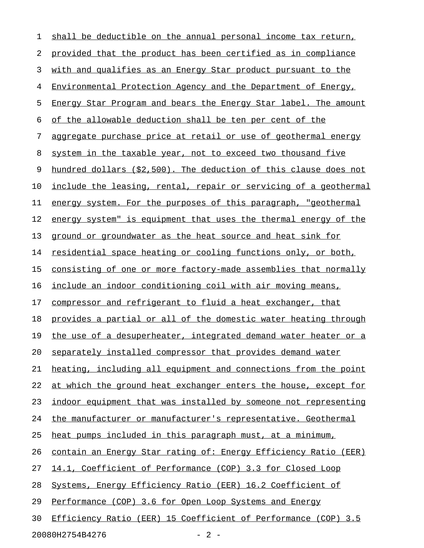| 1  | shall be deductible on the annual personal income tax return,    |
|----|------------------------------------------------------------------|
| 2  | provided that the product has been certified as in compliance    |
| 3  | with and qualifies as an Energy Star product pursuant to the     |
| 4  | Environmental Protection Agency and the Department of Energy,    |
| 5  | Energy Star Program and bears the Energy Star label. The amount  |
| 6  | of the allowable deduction shall be ten per cent of the          |
| 7  | aggregate purchase price at retail or use of geothermal energy   |
| 8  | system in the taxable year, not to exceed two thousand five      |
| 9  | hundred dollars (\$2,500). The deduction of this clause does not |
| 10 | include the leasing, rental, repair or servicing of a geothermal |
| 11 | energy system. For the purposes of this paragraph, "geothermal   |
| 12 | energy system" is equipment that uses the thermal energy of the  |
| 13 | ground or groundwater as the heat source and heat sink for       |
| 14 | residential space heating or cooling functions only, or both,    |
| 15 | consisting of one or more factory-made assemblies that normally  |
| 16 | include an indoor conditioning coil with air moving means,       |
| 17 | compressor and refrigerant to fluid a heat exchanger, that       |
| 18 | provides a partial or all of the domestic water heating through  |
| 19 | the use of a desuperheater, integrated demand water heater or a  |
| 20 | separately installed compressor that provides demand water       |
| 21 | heating, including all equipment and connections from the point  |
| 22 | at which the ground heat exchanger enters the house, except for  |
| 23 | indoor equipment that was installed by someone not representing  |
| 24 | the manufacturer or manufacturer's representative. Geothermal    |
| 25 | heat pumps included in this paragraph must, at a minimum,        |
| 26 | contain an Energy Star rating of: Energy Efficiency Ratio (EER)  |
| 27 | 14.1, Coefficient of Performance (COP) 3.3 for Closed Loop       |
| 28 | Systems, Energy Efficiency Ratio (EER) 16.2 Coefficient of       |
| 29 | Performance (COP) 3.6 for Open Loop Systems and Energy           |
| 30 | Efficiency Ratio (EER) 15 Coefficient of Performance (COP) 3.5   |
|    |                                                                  |

20080H2754B4276 - 2 -